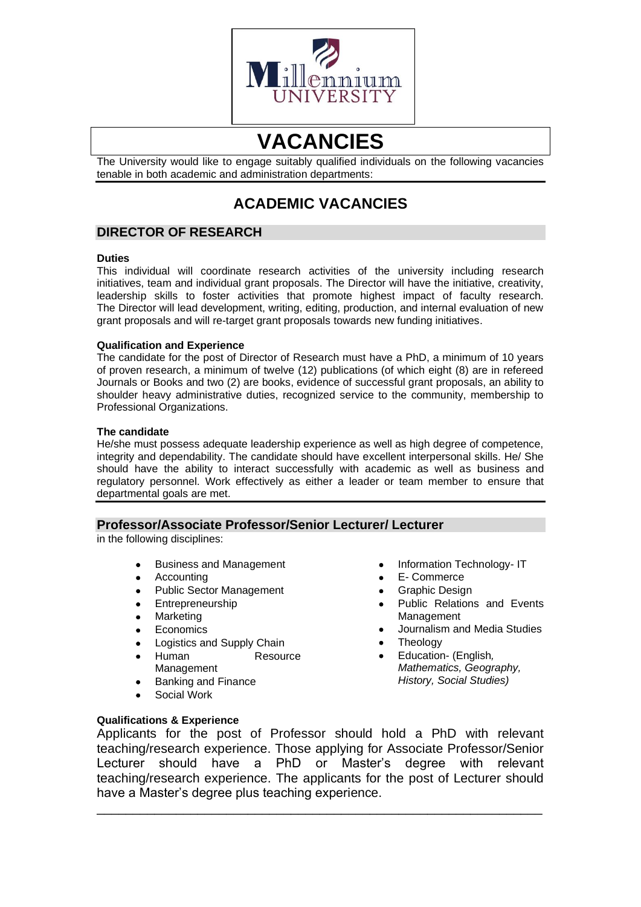

# **VACANCIES**

The University would like to engage suitably qualified individuals on the following vacancies tenable in both academic and administration departments:

# **ACADEMIC VACANCIES**

# **DIRECTOR OF RESEARCH**

#### **Duties**

This individual will coordinate research activities of the university including research initiatives, team and individual grant proposals. The Director will have the initiative, creativity, leadership skills to foster activities that promote highest impact of faculty research. The Director will lead development, writing, editing, production, and internal evaluation of new grant proposals and will re-target grant proposals towards new funding initiatives.

#### **Qualification and Experience**

The candidate for the post of Director of Research must have a PhD, a minimum of 10 years of proven research, a minimum of twelve (12) publications (of which eight (8) are in refereed Journals or Books and two (2) are books, evidence of successful grant proposals, an ability to shoulder heavy administrative duties, recognized service to the community, membership to Professional Organizations.

#### **The candidate**

He/she must possess adequate leadership experience as well as high degree of competence, integrity and dependability. The candidate should have excellent interpersonal skills. He/ She should have the ability to interact successfully with academic as well as business and regulatory personnel. Work effectively as either a leader or team member to ensure that departmental goals are met.

# **Professor/Associate Professor/Senior Lecturer/ Lecturer**

in the following disciplines:

- Business and Management
	- Accounting
- Public Sector Management
- Entrepreneurship
- **Marketing**
- **Economics**
- Logistics and Supply Chain
- Human Resource Management
- Banking and Finance
- Social Work
- Information Technology- IT
- E- Commerce
- Graphic Design
- Public Relations and Events Management
- Journalism and Media Studies
- Theology
- Education- (English*, Mathematics, Geography, History, Social Studies)*

**Qualifications & Experience**

Applicants for the post of Professor should hold a PhD with relevant teaching/research experience. Those applying for Associate Professor/Senior Lecturer should have a PhD or Master's degree with relevant teaching/research experience. The applicants for the post of Lecturer should have a Master's degree plus teaching experience.

\_\_\_\_\_\_\_\_\_\_\_\_\_\_\_\_\_\_\_\_\_\_\_\_\_\_\_\_\_\_\_\_\_\_\_\_\_\_\_\_\_\_\_\_\_\_\_\_\_\_\_\_\_\_\_\_\_\_\_\_\_\_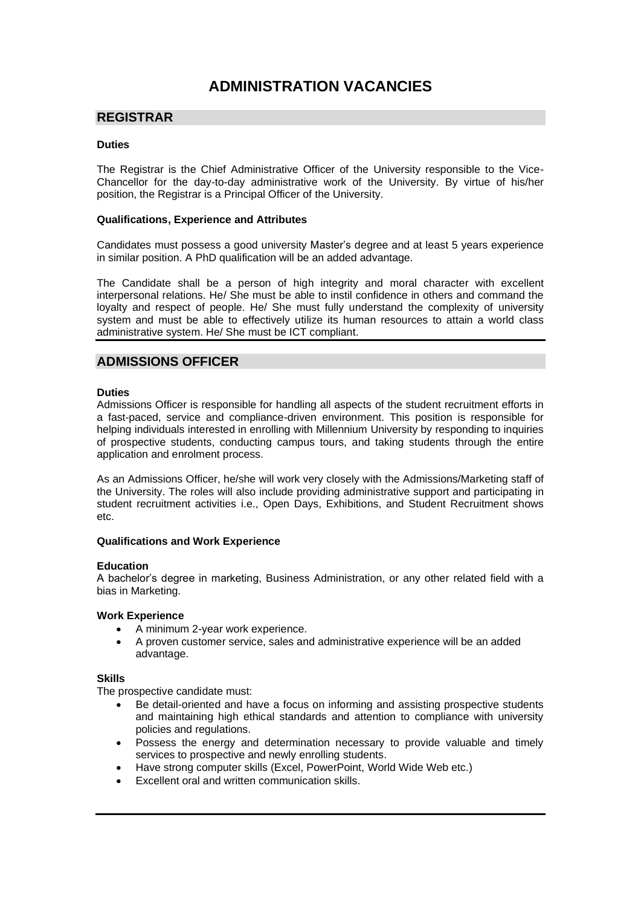# **ADMINISTRATION VACANCIES**

### **REGISTRAR**

#### **Duties**

The Registrar is the Chief Administrative Officer of the University responsible to the Vice-Chancellor for the day-to-day administrative work of the University. By virtue of his/her position, the Registrar is a Principal Officer of the University.

#### **Qualifications, Experience and Attributes**

Candidates must possess a good university Master's degree and at least 5 years experience in similar position. A PhD qualification will be an added advantage.

The Candidate shall be a person of high integrity and moral character with excellent interpersonal relations. He/ She must be able to instil confidence in others and command the loyalty and respect of people. He/ She must fully understand the complexity of university system and must be able to effectively utilize its human resources to attain a world class administrative system. He/ She must be ICT compliant.

# **ADMISSIONS OFFICER**

#### **Duties**

Admissions Officer is responsible for handling all aspects of the student recruitment efforts in a fast-paced, service and compliance-driven environment. This position is responsible for helping individuals interested in enrolling with Millennium University by responding to inquiries of prospective students, conducting campus tours, and taking students through the entire application and enrolment process.

As an Admissions Officer, he/she will work very closely with the Admissions/Marketing staff of the University. The roles will also include providing administrative support and participating in student recruitment activities i.e., Open Days, Exhibitions, and Student Recruitment shows etc.

#### **Qualifications and Work Experience**

#### **Education**

A bachelor's degree in marketing, Business Administration, or any other related field with a bias in Marketing.

#### **Work Experience**

- A minimum 2-year work experience.
- A proven customer service, sales and administrative experience will be an added advantage.

#### **Skills**

The prospective candidate must:

- Be detail-oriented and have a focus on informing and assisting prospective students and maintaining high ethical standards and attention to compliance with university policies and regulations.
- Possess the energy and determination necessary to provide valuable and timely services to prospective and newly enrolling students.
- Have strong computer skills (Excel, PowerPoint, World Wide Web etc.)
- Excellent oral and written communication skills.